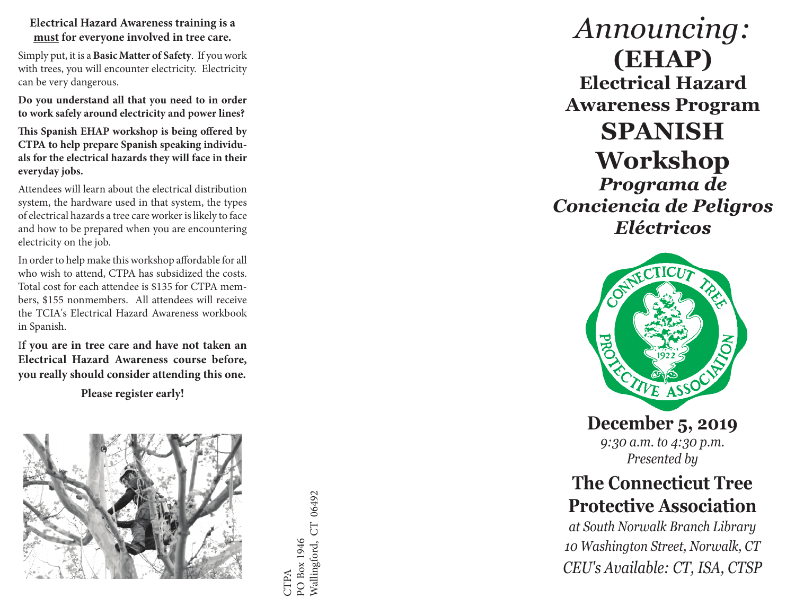**Electrical Hazard Awareness training is a must for everyone involved in tree care.** 

Simply put, it is a **Basic Matter of Safety**. If you work with trees, you will encounter electricity. Electricity can be very dangerous.

**Do you understand all that you need to in order to work safely around electricity and power lines?**

**This Spanish EHAP workshop is being offered by CTPA to help prepare Spanish speaking individu als for the electrical hazards they will face in their everyday jobs.** 

Attendees will learn about the electrical distribution system, the hardware used in that system, the types of electrical hazards a tree care worker is likely to face and how to be prepared when you are encountering electricity on the job.

In order to help make this workshop affordable for all who wish to attend, CTPA has subsidized the costs. Total cost for each attendee is \$135 for CTPA mem bers, \$155 nonmembers. All attendees will receive the TCIA's Electrical Hazard Awareness workbook in Spanish.

I**f you are in tree care and have not taken an Electrical Hazard Awareness course before, you really should consider attending this one.** 

**Please register early!**



Wallingford, CT 06492 Wallingford, CT 06492PO Box 1946 PO Box 1946 CTPA

## *Announcing:* **(EHAP) Electrical Hazard Awareness Program SPANISH Workshop**

*Programa de Conciencia de Peligros Eléctricos*



**December 5, 2019** *9:30 a.m. to 4:30 p.m. Presented by*

## **The Connecticut Tree Protective Association**

*at South Norwalk Branch Library 10 Washington Street, Norwalk, CT CEU's Available: CT, ISA, CTSP*